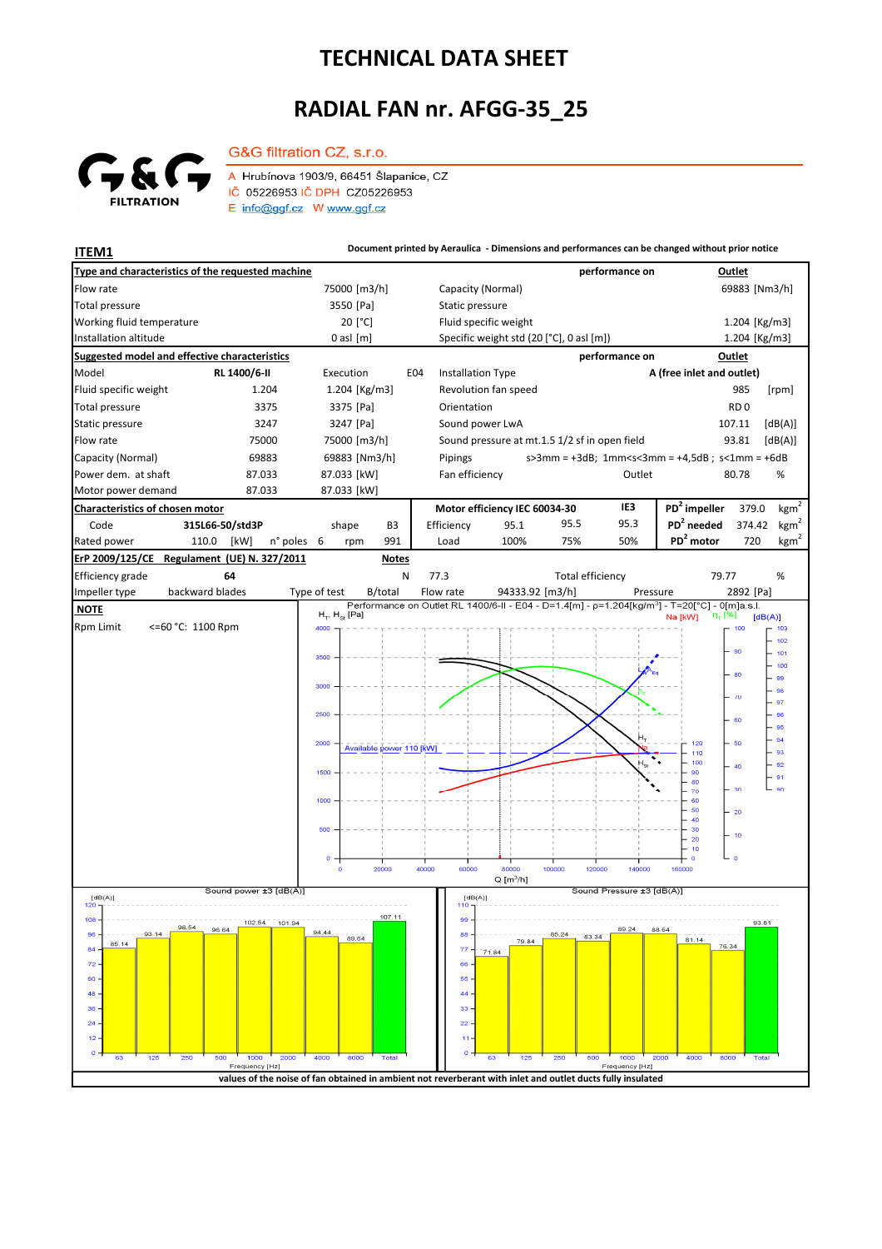## **TECHNICAL DATA SHEET**

## **RADIAL FAN nr. AFGG-35\_25**



G&G filtration CZ, s.r.o. A Hrubínova 1903/9, 66451 Šlapanice, CZ IČ 05226953 IČ DPH CZ05226953

E info@ggf.cz W www.ggf.cz

**ITEM1 Document printed by Aeraulica - Dimensions and performances can be changed without prior notice**

| Type and characteristics of the requested machine                                                                  |                     |                                      |                          |                   |                                               |                  | performance on |                                                                                                           | Outlet          |                                    |  |
|--------------------------------------------------------------------------------------------------------------------|---------------------|--------------------------------------|--------------------------|-------------------|-----------------------------------------------|------------------|----------------|-----------------------------------------------------------------------------------------------------------|-----------------|------------------------------------|--|
| Flow rate                                                                                                          |                     | 75000 [m3/h]                         |                          | Capacity (Normal) |                                               |                  |                |                                                                                                           | 69883 [Nm3/h]   |                                    |  |
| <b>Total pressure</b>                                                                                              |                     | 3550 [Pa]                            |                          |                   | Static pressure                               |                  |                |                                                                                                           |                 |                                    |  |
| Working fluid temperature                                                                                          |                     | 20 [°C]                              |                          |                   | Fluid specific weight                         |                  |                |                                                                                                           | 1.204 [Kg/m3]   |                                    |  |
| Installation altitude                                                                                              |                     | $0$ asl $[m]$                        |                          |                   | Specific weight std (20 [°C], 0 asl [m])      |                  |                |                                                                                                           | 1.204 [Kg/m3]   |                                    |  |
| <b>Suggested model and effective characteristics</b>                                                               |                     | Outlet<br>performance on             |                          |                   |                                               |                  |                |                                                                                                           |                 |                                    |  |
| Model                                                                                                              | RL 1400/6-II        | Execution                            | E04                      | Installation Type |                                               |                  |                | A (free inlet and outlet)                                                                                 |                 |                                    |  |
| Fluid specific weight                                                                                              | 1.204               | 1.204 [Kg/m3]                        |                          |                   | Revolution fan speed                          |                  |                |                                                                                                           | 985             | [rpm]                              |  |
| Total pressure                                                                                                     | 3375                | 3375 [Pa]                            |                          | Orientation       |                                               |                  |                |                                                                                                           | RD <sub>0</sub> |                                    |  |
| Static pressure                                                                                                    | 3247                | 3247 [Pa]                            |                          | Sound power LwA   |                                               |                  |                |                                                                                                           | 107.11          | [dB(A)]                            |  |
| Flow rate                                                                                                          | 75000               | 75000 [m3/h]                         |                          |                   | Sound pressure at mt.1.5 1/2 sf in open field |                  |                |                                                                                                           | 93.81           | [dB(A)]                            |  |
| Capacity (Normal)                                                                                                  | 69883               | 69883 [Nm3/h]                        |                          | Pipings           |                                               |                  | Outlet         | $s > 3$ mm = +3dB; 1mm <s<3mm +4,5db;="" =="" s<1mm="+6dB&lt;/td"><td></td><td></td></s<3mm>              |                 |                                    |  |
| Power dem. at shaft<br>87.033<br>87.033                                                                            |                     | 87.033 [kW]                          |                          |                   | Fan efficiency                                |                  |                |                                                                                                           | 80.78           | %                                  |  |
| Motor power demand                                                                                                 | 87.033 [kW]         |                                      |                          |                   |                                               |                  | $PD2$ impeller |                                                                                                           |                 |                                    |  |
| <b>Characteristics of chosen motor</b><br>315L66-50/std3P                                                          |                     |                                      |                          |                   | Motor efficiency IEC 60034-30                 |                  | IE3<br>95.3    |                                                                                                           | 379.0           | $\text{kgm}^2$                     |  |
| Code                                                                                                               |                     | shape                                | B <sub>3</sub><br>991    | Efficiency        | 95.1<br>100%                                  | 95.5<br>75%      | 50%            | PD <sup>2</sup> needed<br>PD <sup>2</sup> motor                                                           | 374.42<br>720   | kgm <sup>2</sup><br>$\text{kgm}^2$ |  |
| Rated power<br>110.0                                                                                               | [kW]<br>n° poles    | - 6<br>rpm                           |                          | Load              |                                               |                  |                |                                                                                                           |                 |                                    |  |
| ErP 2009/125/CE<br>Regulament (UE) N. 327/2011<br><b>Notes</b><br>N<br><b>Total efficiency</b><br>79.77<br>%<br>64 |                     |                                      |                          |                   |                                               |                  |                |                                                                                                           |                 |                                    |  |
| <b>Efficiency grade</b><br>backward blades<br>Impeller type                                                        |                     | Type of test                         | B/total                  | 77.3<br>Flow rate | 94333.92 [m3/h]                               |                  | Pressure       |                                                                                                           | 2892 [Pa]       |                                    |  |
| <b>NOTE</b>                                                                                                        |                     |                                      |                          |                   |                                               |                  |                | Performance on Outlet RL 1400/6-II - E04 - D=1.4[m] - p=1.204[kg/m <sup>3</sup> ] - T=20[°C] - 0[m]a.s.l. |                 |                                    |  |
| <b>Rpm Limit</b><br><=60 °C: 1100 Rpm                                                                              |                     | $H_T$ , $H_{\text{St}}$ [Pa]<br>4000 |                          |                   |                                               |                  |                | $n_T$ [%]<br>Na [kW]                                                                                      | [dB(A)]<br>100  | 103                                |  |
|                                                                                                                    |                     |                                      |                          |                   |                                               |                  |                |                                                                                                           |                 | 102                                |  |
|                                                                                                                    |                     | 3500                                 |                          |                   |                                               |                  |                |                                                                                                           | 90              | 101                                |  |
|                                                                                                                    |                     |                                      |                          |                   |                                               |                  |                |                                                                                                           | 80              | 100<br>99                          |  |
|                                                                                                                    |                     | 3000                                 |                          |                   |                                               |                  |                |                                                                                                           |                 | 98                                 |  |
|                                                                                                                    |                     |                                      |                          |                   |                                               |                  |                |                                                                                                           | $\sqrt{0}$      | 97                                 |  |
|                                                                                                                    |                     | 2500                                 |                          |                   |                                               |                  |                |                                                                                                           | 60              | 96<br>95                           |  |
|                                                                                                                    |                     | 2000                                 | Available power 110 [kW] |                   |                                               |                  |                | 120                                                                                                       | 50              | 94                                 |  |
|                                                                                                                    |                     |                                      |                          |                   |                                               |                  |                | 110<br>100                                                                                                |                 | 93<br>92                           |  |
|                                                                                                                    |                     | 1500                                 |                          |                   |                                               |                  |                | 90<br>80                                                                                                  | 40              | - 91                               |  |
|                                                                                                                    |                     |                                      |                          |                   |                                               |                  |                | 70<br>60                                                                                                  | 30              | $-90$                              |  |
|                                                                                                                    |                     | 1000                                 |                          |                   |                                               |                  |                | 50                                                                                                        | $-20$           |                                    |  |
|                                                                                                                    |                     | 500                                  |                          |                   |                                               |                  |                | 40<br>30                                                                                                  |                 |                                    |  |
|                                                                                                                    |                     |                                      |                          |                   |                                               |                  |                | 20<br>10                                                                                                  | 10              |                                    |  |
|                                                                                                                    |                     | $\circ$<br>$\circ$                   | 20000                    | 60000<br>40000    | 80000                                         | 100000<br>120000 | 140000         | $\circ$<br>160000                                                                                         | ە با            |                                    |  |
|                                                                                                                    |                     |                                      |                          |                   | $Q$ [m <sup>3</sup> /h]                       |                  |                |                                                                                                           |                 |                                    |  |
| Sound power ±3 [dB(A)]<br>[dB(A)]                                                                                  |                     |                                      |                          |                   | Sound Pressure ±3 [dB(A)]<br>[dB(A)]<br>110   |                  |                |                                                                                                           |                 |                                    |  |
| 120<br>107.11<br>108                                                                                               |                     |                                      |                          |                   |                                               |                  |                |                                                                                                           |                 |                                    |  |
| 102.54<br>101.94<br>98.54<br>96.64<br>93.14                                                                        |                     |                                      |                          | 99<br>88          |                                               | 85.24<br>83.34   | 89.24          | 88.64                                                                                                     | 93.81           |                                    |  |
| 85.14<br>84                                                                                                        |                     | 89.64                                |                          | 77                | 79.84<br>71.84                                |                  |                | 81.14<br>76.34                                                                                            |                 |                                    |  |
| 72.                                                                                                                |                     |                                      |                          | 66                |                                               |                  |                |                                                                                                           |                 |                                    |  |
| $60 -$                                                                                                             |                     |                                      |                          | 55                |                                               |                  |                |                                                                                                           |                 |                                    |  |
| 48                                                                                                                 |                     |                                      |                          |                   |                                               |                  |                |                                                                                                           |                 |                                    |  |
| 36 <sub>1</sub><br>$24 -$                                                                                          |                     |                                      |                          | 33<br>$22 -$      |                                               |                  |                |                                                                                                           |                 |                                    |  |
| 12                                                                                                                 |                     |                                      |                          |                   |                                               |                  |                |                                                                                                           |                 |                                    |  |
| 0<br>125<br>250<br>63                                                                                              | 500<br>1000<br>2000 | 4000<br>8000                         | <b>Total</b>             | o                 | 125<br>63                                     | 250<br>500       | 1000           | 2000<br>4000<br>8000                                                                                      |                 |                                    |  |
| Frequency [Hz]<br>Frequency [Hz]                                                                                   |                     |                                      |                          |                   |                                               |                  |                |                                                                                                           |                 |                                    |  |
| values of the noise of fan obtained in ambient not reverberant with inlet and outlet ducts fully insulated         |                     |                                      |                          |                   |                                               |                  |                |                                                                                                           |                 |                                    |  |